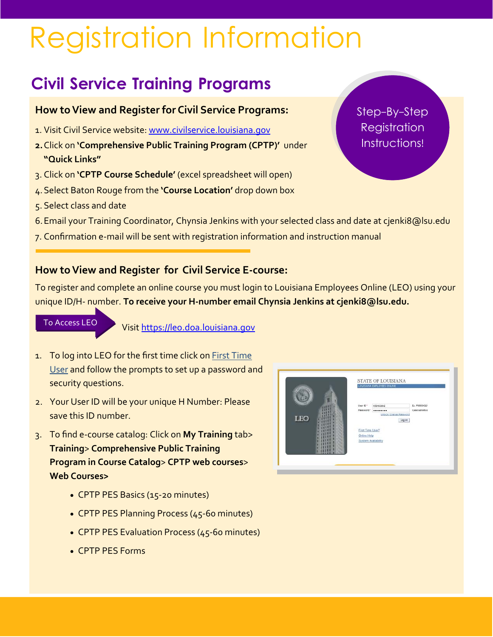# Registration Information

# **Civil Service Training Programs**

# **How toView and Register for Civil Service Programs:**

- 1. Visit Civil Service website: www.civilservice.louisiana.gov
- **2.**Click on **'Comprehensive Public Training Program (CPTP)'** under **"Quick Links"**
- 3. Click on **'CPTP Course Schedule'** (excel spreadsheet will open)
- 4.Select Baton Rouge from the **'Course Location'** drop down box
- 5. Select class and date
- 6.Email your Training Coordinator, Chynsia Jenkins with your selected class and date at cjenki8@lsu.edu
- 7. Confirmation e‐mail will be sent with registration information and instruction manual

# **How toView and Register for Civil Service E‐course:**

To register and complete an online course you must login to Louisiana Employees Online (LEO) using your unique ID/H‐ number. **To receive your H‐number email Chynsia Jenkins at cjenki8@lsu.edu.**

#### To Access LEO

Visit https://leo.doa.louisiana.gov

- 1. To log into LEO for the first time click on First Time User and follow the prompts to set up a password and security questions.
- 2. Your User ID will be your unique H Number: Please save this ID number.
- 3. To find e‐course catalog: Click on **My Training** tab> **Training**> **Comprehensive Public Training Program in Course Catalog**> **CPTP web courses**> **Web Courses>**
	- CPTP PES Basics (15-20 minutes)
	- CPTP PES Planning Process (45‐60 minutes)
	- CPTP PES Evaluation Process (45‐60 minutes)
	- CPTP PES Forms

|            | Ex. P00654321<br>User D <sup>+</sup><br>H50433842<br>Case sensitive<br>Password *<br> |
|------------|---------------------------------------------------------------------------------------|
| <b>LEO</b> | Unitork / Chenge Password<br>Log on                                                   |
|            | First Time User?                                                                      |
|            | Online Help<br><b>System Avalability</b>                                              |
|            |                                                                                       |

Step-By-Step **Registration** Instructions!